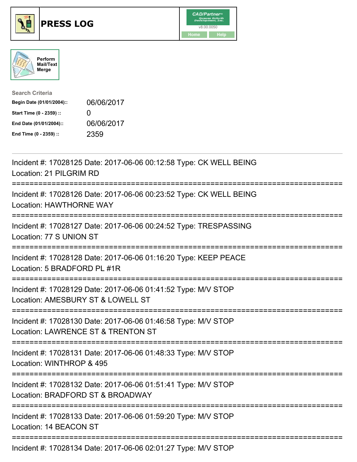





| <b>Search Criteria</b>    |                   |
|---------------------------|-------------------|
| Begin Date (01/01/2004):: | 06/06/2017        |
| Start Time (0 - 2359) ::  | $\mathbf{\Omega}$ |
| End Date (01/01/2004)::   | 06/06/2017        |
| End Time (0 - 2359) ::    | 2359              |

| Incident #: 17028125 Date: 2017-06-06 00:12:58 Type: CK WELL BEING<br>Location: 21 PILGRIM RD                                                                                                                                                                                                                          |
|------------------------------------------------------------------------------------------------------------------------------------------------------------------------------------------------------------------------------------------------------------------------------------------------------------------------|
| Incident #: 17028126 Date: 2017-06-06 00:23:52 Type: CK WELL BEING<br><b>Location: HAWTHORNE WAY</b>                                                                                                                                                                                                                   |
| Incident #: 17028127 Date: 2017-06-06 00:24:52 Type: TRESPASSING<br>Location: 77 S UNION ST                                                                                                                                                                                                                            |
| Incident #: 17028128 Date: 2017-06-06 01:16:20 Type: KEEP PEACE<br>Location: 5 BRADFORD PL #1R                                                                                                                                                                                                                         |
| Incident #: 17028129 Date: 2017-06-06 01:41:52 Type: M/V STOP<br>Location: AMESBURY ST & LOWELL ST                                                                                                                                                                                                                     |
| Incident #: 17028130 Date: 2017-06-06 01:46:58 Type: M/V STOP<br>Location: LAWRENCE ST & TRENTON ST                                                                                                                                                                                                                    |
| Incident #: 17028131 Date: 2017-06-06 01:48:33 Type: M/V STOP<br>Location: WINTHROP & 495                                                                                                                                                                                                                              |
| Incident #: 17028132 Date: 2017-06-06 01:51:41 Type: M/V STOP<br>Location: BRADFORD ST & BROADWAY                                                                                                                                                                                                                      |
| Incident #: 17028133 Date: 2017-06-06 01:59:20 Type: M/V STOP<br>Location: 14 BEACON ST                                                                                                                                                                                                                                |
| $\frac{1}{2}$ and $\frac{1}{2}$ $\frac{1}{2}$ $\frac{1}{2}$ $\frac{1}{2}$ $\frac{1}{2}$ $\frac{1}{2}$ $\frac{1}{2}$ $\frac{1}{2}$ $\frac{1}{2}$ $\frac{1}{2}$ $\frac{1}{2}$ $\frac{1}{2}$ $\frac{1}{2}$ $\frac{1}{2}$ $\frac{1}{2}$ $\frac{1}{2}$ $\frac{1}{2}$ $\frac{1}{2}$ $\frac{1}{2}$ $\frac{1}{2}$ $\frac{1}{2$ |

Incident #: 17028134 Date: 2017-06-06 02:01:27 Type: M/V STOP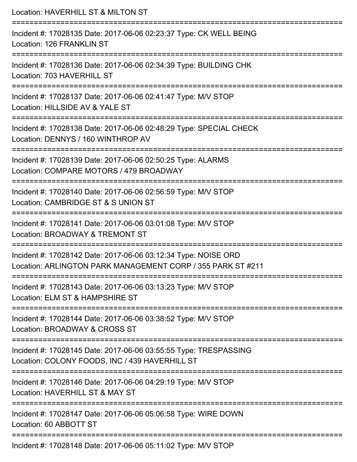| Location: HAVERHILL ST & MILTON ST                                                                                                   |
|--------------------------------------------------------------------------------------------------------------------------------------|
| Incident #: 17028135 Date: 2017-06-06 02:23:37 Type: CK WELL BEING<br>Location: 126 FRANKLIN ST                                      |
| Incident #: 17028136 Date: 2017-06-06 02:34:39 Type: BUILDING CHK<br>Location: 703 HAVERHILL ST                                      |
| Incident #: 17028137 Date: 2017-06-06 02:41:47 Type: M/V STOP<br>Location: HILLSIDE AV & YALE ST                                     |
| Incident #: 17028138 Date: 2017-06-06 02:48:29 Type: SPECIAL CHECK<br>Location: DENNYS / 160 WINTHROP AV                             |
| Incident #: 17028139 Date: 2017-06-06 02:50:25 Type: ALARMS<br>Location: COMPARE MOTORS / 479 BROADWAY                               |
| ============================<br>Incident #: 17028140 Date: 2017-06-06 02:56:59 Type: M/V STOP<br>Location: CAMBRIDGE ST & S UNION ST |
| Incident #: 17028141 Date: 2017-06-06 03:01:08 Type: M/V STOP<br>Location: BROADWAY & TREMONT ST                                     |
| Incident #: 17028142 Date: 2017-06-06 03:12:34 Type: NOISE ORD<br>Location: ARLINGTON PARK MANAGEMENT CORP / 355 PARK ST #211        |
| Incident #: 17028143 Date: 2017-06-06 03:13:23 Type: M/V STOP<br>Location: ELM ST & HAMPSHIRE ST                                     |
| Incident #: 17028144 Date: 2017-06-06 03:38:52 Type: M/V STOP<br>Location: BROADWAY & CROSS ST                                       |
| Incident #: 17028145 Date: 2017-06-06 03:55:55 Type: TRESPASSING<br>Location: COLONY FOODS, INC / 439 HAVERHILL ST                   |
| Incident #: 17028146 Date: 2017-06-06 04:29:19 Type: M/V STOP<br>Location: HAVERHILL ST & MAY ST                                     |
| Incident #: 17028147 Date: 2017-06-06 05:06:58 Type: WIRE DOWN<br>Location: 60 ABBOTT ST                                             |
| Incident #: 17028148 Date: 2017-06-06 05:11:02 Type: M/V STOP                                                                        |

Incident #: 17028148 Date: 2017-06-06 05:11:02 Type: M/V STOP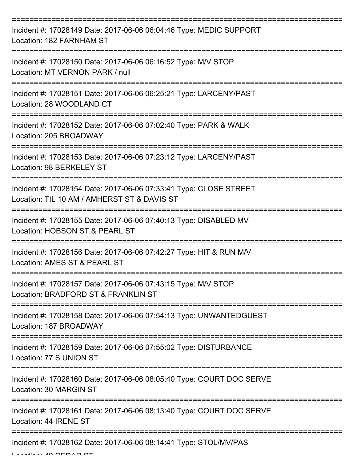| Incident #: 17028149 Date: 2017-06-06 06:04:46 Type: MEDIC SUPPORT<br>Location: 182 FARNHAM ST                   |
|------------------------------------------------------------------------------------------------------------------|
| Incident #: 17028150 Date: 2017-06-06 06:16:52 Type: M/V STOP<br>Location: MT VERNON PARK / null                 |
| Incident #: 17028151 Date: 2017-06-06 06:25:21 Type: LARCENY/PAST<br>Location: 28 WOODLAND CT                    |
| Incident #: 17028152 Date: 2017-06-06 07:02:40 Type: PARK & WALK<br>Location: 205 BROADWAY                       |
| Incident #: 17028153 Date: 2017-06-06 07:23:12 Type: LARCENY/PAST<br>Location: 98 BERKELEY ST                    |
| Incident #: 17028154 Date: 2017-06-06 07:33:41 Type: CLOSE STREET<br>Location: TIL 10 AM / AMHERST ST & DAVIS ST |
| Incident #: 17028155 Date: 2017-06-06 07:40:13 Type: DISABLED MV<br>Location: HOBSON ST & PEARL ST               |
| Incident #: 17028156 Date: 2017-06-06 07:42:27 Type: HIT & RUN M/V<br>Location: AMES ST & PEARL ST               |
| Incident #: 17028157 Date: 2017-06-06 07:43:15 Type: M/V STOP<br>Location: BRADFORD ST & FRANKLIN ST             |
| Incident #: 17028158 Date: 2017-06-06 07:54:13 Type: UNWANTEDGUEST<br>Location: 187 BROADWAY                     |
| Incident #: 17028159 Date: 2017-06-06 07:55:02 Type: DISTURBANCE<br>Location: 77 S UNION ST                      |
| Incident #: 17028160 Date: 2017-06-06 08:05:40 Type: COURT DOC SERVE<br>Location: 30 MARGIN ST                   |
| Incident #: 17028161 Date: 2017-06-06 08:13:40 Type: COURT DOC SERVE<br>Location: 44 IRENE ST                    |
| Incident #: 17028162 Date: 2017-06-06 08:14:41 Type: STOL/MV/PAS                                                 |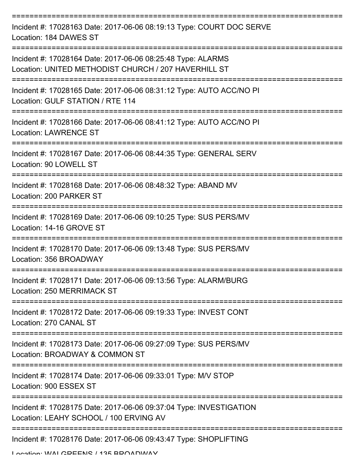| Incident #: 17028163 Date: 2017-06-06 08:19:13 Type: COURT DOC SERVE<br>Location: 184 DAWES ST                      |
|---------------------------------------------------------------------------------------------------------------------|
| Incident #: 17028164 Date: 2017-06-06 08:25:48 Type: ALARMS<br>Location: UNITED METHODIST CHURCH / 207 HAVERHILL ST |
| Incident #: 17028165 Date: 2017-06-06 08:31:12 Type: AUTO ACC/NO PI<br>Location: GULF STATION / RTE 114             |
| Incident #: 17028166 Date: 2017-06-06 08:41:12 Type: AUTO ACC/NO PI<br><b>Location: LAWRENCE ST</b>                 |
| Incident #: 17028167 Date: 2017-06-06 08:44:35 Type: GENERAL SERV<br>Location: 90 LOWELL ST                         |
| Incident #: 17028168 Date: 2017-06-06 08:48:32 Type: ABAND MV<br>Location: 200 PARKER ST                            |
| Incident #: 17028169 Date: 2017-06-06 09:10:25 Type: SUS PERS/MV<br>Location: 14-16 GROVE ST                        |
| Incident #: 17028170 Date: 2017-06-06 09:13:48 Type: SUS PERS/MV<br>Location: 356 BROADWAY                          |
| Incident #: 17028171 Date: 2017-06-06 09:13:56 Type: ALARM/BURG<br>Location: 250 MERRIMACK ST                       |
| Incident #: 17028172 Date: 2017-06-06 09:19:33 Type: INVEST CONT<br>Location: 270 CANAL ST                          |
| Incident #: 17028173 Date: 2017-06-06 09:27:09 Type: SUS PERS/MV<br>Location: BROADWAY & COMMON ST                  |
| Incident #: 17028174 Date: 2017-06-06 09:33:01 Type: M/V STOP<br>Location: 900 ESSEX ST                             |
| Incident #: 17028175 Date: 2017-06-06 09:37:04 Type: INVESTIGATION<br>Location: LEAHY SCHOOL / 100 ERVING AV        |
| Incident #: 17028176 Date: 2017-06-06 09:43:47 Type: SHOPLIFTING                                                    |

Location: WALCDEENIC / 135 BBOADWAY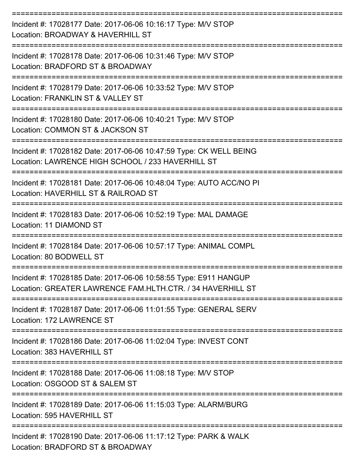| Incident #: 17028177 Date: 2017-06-06 10:16:17 Type: M/V STOP<br>Location: BROADWAY & HAVERHILL ST                             |
|--------------------------------------------------------------------------------------------------------------------------------|
| Incident #: 17028178 Date: 2017-06-06 10:31:46 Type: M/V STOP<br>Location: BRADFORD ST & BROADWAY                              |
| Incident #: 17028179 Date: 2017-06-06 10:33:52 Type: M/V STOP<br>Location: FRANKLIN ST & VALLEY ST                             |
| Incident #: 17028180 Date: 2017-06-06 10:40:21 Type: M/V STOP<br>Location: COMMON ST & JACKSON ST                              |
| Incident #: 17028182 Date: 2017-06-06 10:47:59 Type: CK WELL BEING<br>Location: LAWRENCE HIGH SCHOOL / 233 HAVERHILL ST        |
| Incident #: 17028181 Date: 2017-06-06 10:48:04 Type: AUTO ACC/NO PI<br>Location: HAVERHILL ST & RAILROAD ST                    |
| Incident #: 17028183 Date: 2017-06-06 10:52:19 Type: MAL DAMAGE<br>Location: 11 DIAMOND ST                                     |
| Incident #: 17028184 Date: 2017-06-06 10:57:17 Type: ANIMAL COMPL<br>Location: 80 BODWELI ST                                   |
| Incident #: 17028185 Date: 2017-06-06 10:58:55 Type: E911 HANGUP<br>Location: GREATER LAWRENCE FAM.HLTH.CTR. / 34 HAVERHILL ST |
| Incident #: 17028187 Date: 2017-06-06 11:01:55 Type: GENERAL SERV<br>Location: 172 LAWRENCE ST                                 |
| Incident #: 17028186 Date: 2017-06-06 11:02:04 Type: INVEST CONT<br>Location: 383 HAVERHILL ST                                 |
| Incident #: 17028188 Date: 2017-06-06 11:08:18 Type: M/V STOP<br>Location: OSGOOD ST & SALEM ST                                |
| Incident #: 17028189 Date: 2017-06-06 11:15:03 Type: ALARM/BURG<br>Location: 595 HAVERHILL ST                                  |
| Incident #: 17028190 Date: 2017-06-06 11:17:12 Type: PARK & WALK<br>Location: BRADFORD ST & BROADWAY                           |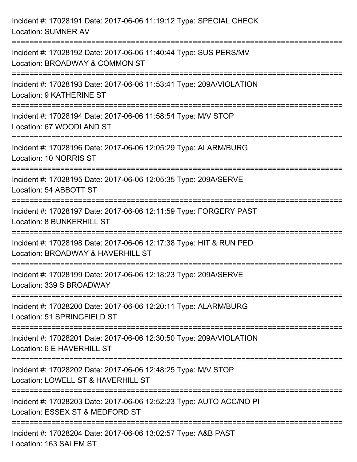| Incident #: 17028191 Date: 2017-06-06 11:19:12 Type: SPECIAL CHECK<br><b>Location: SUMNER AV</b>                               |
|--------------------------------------------------------------------------------------------------------------------------------|
| Incident #: 17028192 Date: 2017-06-06 11:40:44 Type: SUS PERS/MV<br>Location: BROADWAY & COMMON ST                             |
| Incident #: 17028193 Date: 2017-06-06 11:53:41 Type: 209A/VIOLATION<br><b>Location: 9 KATHERINE ST</b>                         |
| Incident #: 17028194 Date: 2017-06-06 11:58:54 Type: M/V STOP<br>Location: 67 WOODLAND ST                                      |
| Incident #: 17028196 Date: 2017-06-06 12:05:29 Type: ALARM/BURG<br>Location: 10 NORRIS ST<br>================================= |
| Incident #: 17028195 Date: 2017-06-06 12:05:35 Type: 209A/SERVE<br>Location: 54 ABBOTT ST                                      |
| Incident #: 17028197 Date: 2017-06-06 12:11:59 Type: FORGERY PAST<br><b>Location: 8 BUNKERHILL ST</b>                          |
| Incident #: 17028198 Date: 2017-06-06 12:17:38 Type: HIT & RUN PED<br>Location: BROADWAY & HAVERHILL ST                        |
| Incident #: 17028199 Date: 2017-06-06 12:18:23 Type: 209A/SERVE<br>Location: 339 S BROADWAY                                    |
| Incident #: 17028200 Date: 2017-06-06 12:20:11 Type: ALARM/BURG<br>Location: 51 SPRINGFIELD ST                                 |
| Incident #: 17028201 Date: 2017-06-06 12:30:50 Type: 209A/VIOLATION<br>Location: 6 E HAVERHILL ST                              |
| Incident #: 17028202 Date: 2017-06-06 12:48:25 Type: M/V STOP<br>Location: LOWELL ST & HAVERHILL ST                            |
| Incident #: 17028203 Date: 2017-06-06 12:52:23 Type: AUTO ACC/NO PI<br>Location: ESSEX ST & MEDFORD ST                         |
| Incident #: 17028204 Date: 2017-06-06 13:02:57 Type: A&B PAST<br>Location: 163 SALEM ST                                        |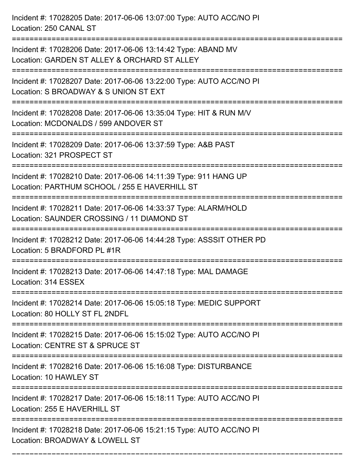Incident #: 17028205 Date: 2017-06-06 13:07:00 Type: AUTO ACC/NO PI Location: 250 CANAL ST =========================================================================== Incident #: 17028206 Date: 2017-06-06 13:14:42 Type: ABAND MV Location: GARDEN ST ALLEY & ORCHARD ST ALLEY =========================================================================== Incident #: 17028207 Date: 2017-06-06 13:22:00 Type: AUTO ACC/NO PI Location: S BROADWAY & S UNION ST EXT =========================================================================== Incident #: 17028208 Date: 2017-06-06 13:35:04 Type: HIT & RUN M/V Location: MCDONALDS / 599 ANDOVER ST =========================================================================== Incident #: 17028209 Date: 2017-06-06 13:37:59 Type: A&B PAST Location: 321 PROSPECT ST =========================================================================== Incident #: 17028210 Date: 2017-06-06 14:11:39 Type: 911 HANG UP Location: PARTHUM SCHOOL / 255 E HAVERHILL ST =========================================================================== Incident #: 17028211 Date: 2017-06-06 14:33:37 Type: ALARM/HOLD Location: SAUNDER CROSSING / 11 DIAMOND ST =========================================================================== Incident #: 17028212 Date: 2017-06-06 14:44:28 Type: ASSSIT OTHER PD Location: 5 BRADFORD PL #1R =========================================================================== Incident #: 17028213 Date: 2017-06-06 14:47:18 Type: MAL DAMAGE Location: 314 ESSEX =========================================================================== Incident #: 17028214 Date: 2017-06-06 15:05:18 Type: MEDIC SUPPORT Location: 80 HOLLY ST FL 2NDFL =========================================================================== Incident #: 17028215 Date: 2017-06-06 15:15:02 Type: AUTO ACC/NO PI Location: CENTRE ST & SPRUCE ST =========================================================================== Incident #: 17028216 Date: 2017-06-06 15:16:08 Type: DISTURBANCE Location: 10 HAWLEY ST =========================================================================== Incident #: 17028217 Date: 2017-06-06 15:18:11 Type: AUTO ACC/NO PI Location: 255 E HAVERHILL ST =========================================================================== Incident #: 17028218 Date: 2017-06-06 15:21:15 Type: AUTO ACC/NO PI Location: BROADWAY & LOWELL ST

===========================================================================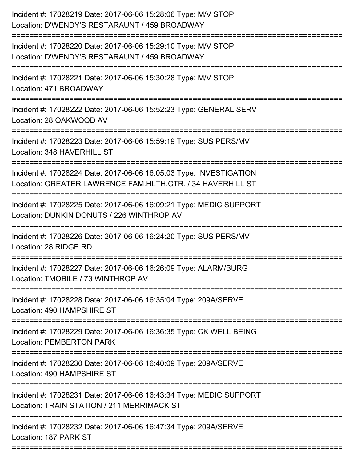| Incident #: 17028219 Date: 2017-06-06 15:28:06 Type: M/V STOP<br>Location: D'WENDY'S RESTARAUNT / 459 BROADWAY                        |
|---------------------------------------------------------------------------------------------------------------------------------------|
| Incident #: 17028220 Date: 2017-06-06 15:29:10 Type: M/V STOP<br>Location: D'WENDY'S RESTARAUNT / 459 BROADWAY                        |
| Incident #: 17028221 Date: 2017-06-06 15:30:28 Type: M/V STOP<br>Location: 471 BROADWAY                                               |
| Incident #: 17028222 Date: 2017-06-06 15:52:23 Type: GENERAL SERV<br>Location: 28 OAKWOOD AV                                          |
| Incident #: 17028223 Date: 2017-06-06 15:59:19 Type: SUS PERS/MV<br>Location: 348 HAVERHILL ST<br>--------------                      |
| Incident #: 17028224 Date: 2017-06-06 16:05:03 Type: INVESTIGATION<br>Location: GREATER LAWRENCE FAM.HLTH.CTR. / 34 HAVERHILL ST      |
| Incident #: 17028225 Date: 2017-06-06 16:09:21 Type: MEDIC SUPPORT<br>Location: DUNKIN DONUTS / 226 WINTHROP AV<br>------------------ |
| Incident #: 17028226 Date: 2017-06-06 16:24:20 Type: SUS PERS/MV<br>Location: 28 RIDGE RD                                             |
| Incident #: 17028227 Date: 2017-06-06 16:26:09 Type: ALARM/BURG<br>Location: TMOBILE / 73 WINTHROP AV                                 |
| Incident #: 17028228 Date: 2017-06-06 16:35:04 Type: 209A/SERVE<br>Location: 490 HAMPSHIRE ST                                         |
| Incident #: 17028229 Date: 2017-06-06 16:36:35 Type: CK WELL BEING<br><b>Location: PEMBERTON PARK</b>                                 |
| Incident #: 17028230 Date: 2017-06-06 16:40:09 Type: 209A/SERVE<br>Location: 490 HAMPSHIRE ST                                         |
| Incident #: 17028231 Date: 2017-06-06 16:43:34 Type: MEDIC SUPPORT<br>Location: TRAIN STATION / 211 MERRIMACK ST                      |
| =========================<br>Incident #: 17028232 Date: 2017-06-06 16:47:34 Type: 209A/SERVE<br>Location: 187 PARK ST                 |
|                                                                                                                                       |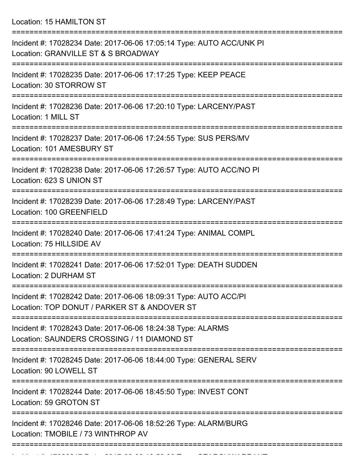Location: 15 HAMILTON ST

| Incident #: 17028234 Date: 2017-06-06 17:05:14 Type: AUTO ACC/UNK PI<br>Location: GRANVILLE ST & S BROADWAY                                 |
|---------------------------------------------------------------------------------------------------------------------------------------------|
| Incident #: 17028235 Date: 2017-06-06 17:17:25 Type: KEEP PEACE<br>Location: 30 STORROW ST                                                  |
| Incident #: 17028236 Date: 2017-06-06 17:20:10 Type: LARCENY/PAST<br>Location: 1 MILL ST                                                    |
| Incident #: 17028237 Date: 2017-06-06 17:24:55 Type: SUS PERS/MV<br>Location: 101 AMESBURY ST                                               |
| Incident #: 17028238 Date: 2017-06-06 17:26:57 Type: AUTO ACC/NO PI<br>Location: 623 S UNION ST                                             |
| Incident #: 17028239 Date: 2017-06-06 17:28:49 Type: LARCENY/PAST<br>Location: 100 GREENFIELD                                               |
| Incident #: 17028240 Date: 2017-06-06 17:41:24 Type: ANIMAL COMPL<br>Location: 75 HILLSIDE AV                                               |
| Incident #: 17028241 Date: 2017-06-06 17:52:01 Type: DEATH SUDDEN<br>Location: 2 DURHAM ST                                                  |
| Incident #: 17028242 Date: 2017-06-06 18:09:31 Type: AUTO ACC/PI<br>Location: TOP DONUT / PARKER ST & ANDOVER ST                            |
| =============================<br>Incident #: 17028243 Date: 2017-06-06 18:24:38 Type: ALARMS<br>Location: SAUNDERS CROSSING / 11 DIAMOND ST |
| Incident #: 17028245 Date: 2017-06-06 18:44:00 Type: GENERAL SERV<br>Location: 90 LOWELL ST                                                 |
| Incident #: 17028244 Date: 2017-06-06 18:45:50 Type: INVEST CONT<br>Location: 59 GROTON ST                                                  |
| Incident #: 17028246 Date: 2017-06-06 18:52:26 Type: ALARM/BURG<br>Location: TMOBILE / 73 WINTHROP AV                                       |
|                                                                                                                                             |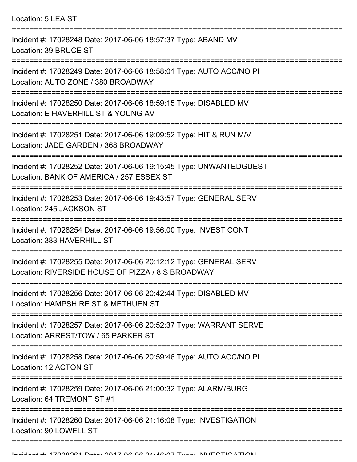Location: 5 LEA ST

| Incident #: 17028248 Date: 2017-06-06 18:57:37 Type: ABAND MV<br>Location: 39 BRUCE ST                                 |
|------------------------------------------------------------------------------------------------------------------------|
| Incident #: 17028249 Date: 2017-06-06 18:58:01 Type: AUTO ACC/NO PI<br>Location: AUTO ZONE / 380 BROADWAY              |
| Incident #: 17028250 Date: 2017-06-06 18:59:15 Type: DISABLED MV<br>Location: E HAVERHILL ST & YOUNG AV                |
| Incident #: 17028251 Date: 2017-06-06 19:09:52 Type: HIT & RUN M/V<br>Location: JADE GARDEN / 368 BROADWAY             |
| Incident #: 17028252 Date: 2017-06-06 19:15:45 Type: UNWANTEDGUEST<br>Location: BANK OF AMERICA / 257 ESSEX ST         |
| Incident #: 17028253 Date: 2017-06-06 19:43:57 Type: GENERAL SERV<br>Location: 245 JACKSON ST                          |
| Incident #: 17028254 Date: 2017-06-06 19:56:00 Type: INVEST CONT<br>Location: 383 HAVERHILL ST                         |
| Incident #: 17028255 Date: 2017-06-06 20:12:12 Type: GENERAL SERV<br>Location: RIVERSIDE HOUSE OF PIZZA / 8 S BROADWAY |
| Incident #: 17028256 Date: 2017-06-06 20:42:44 Type: DISABLED MV<br>Location: HAMPSHIRE ST & METHUEN ST                |
| Incident #: 17028257 Date: 2017-06-06 20:52:37 Type: WARRANT SERVE<br>Location: ARREST/TOW / 65 PARKER ST              |
| Incident #: 17028258 Date: 2017-06-06 20:59:46 Type: AUTO ACC/NO PI<br>Location: 12 ACTON ST                           |
| Incident #: 17028259 Date: 2017-06-06 21:00:32 Type: ALARM/BURG<br>Location: 64 TREMONT ST #1                          |
| Incident #: 17028260 Date: 2017-06-06 21:16:08 Type: INVESTIGATION<br>Location: 90 LOWELL ST                           |
|                                                                                                                        |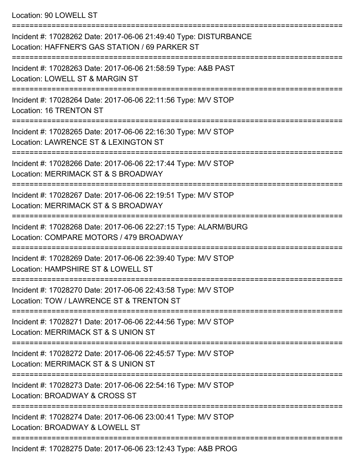## Location: 90 LOWELL ST

| Incident #: 17028262 Date: 2017-06-06 21:49:40 Type: DISTURBANCE<br>Location: HAFFNER'S GAS STATION / 69 PARKER ST |
|--------------------------------------------------------------------------------------------------------------------|
| Incident #: 17028263 Date: 2017-06-06 21:58:59 Type: A&B PAST<br>Location: LOWELL ST & MARGIN ST                   |
| Incident #: 17028264 Date: 2017-06-06 22:11:56 Type: M/V STOP<br>Location: 16 TRENTON ST                           |
| Incident #: 17028265 Date: 2017-06-06 22:16:30 Type: M/V STOP<br>Location: LAWRENCE ST & LEXINGTON ST              |
| Incident #: 17028266 Date: 2017-06-06 22:17:44 Type: M/V STOP<br>Location: MERRIMACK ST & S BROADWAY               |
| Incident #: 17028267 Date: 2017-06-06 22:19:51 Type: M/V STOP<br>Location: MERRIMACK ST & S BROADWAY               |
| Incident #: 17028268 Date: 2017-06-06 22:27:15 Type: ALARM/BURG<br>Location: COMPARE MOTORS / 479 BROADWAY         |
| Incident #: 17028269 Date: 2017-06-06 22:39:40 Type: M/V STOP<br>Location: HAMPSHIRE ST & LOWELL ST                |
| Incident #: 17028270 Date: 2017-06-06 22:43:58 Type: M/V STOP<br>Location: TOW / LAWRENCE ST & TRENTON ST          |
| Incident #: 17028271 Date: 2017-06-06 22:44:56 Type: M/V STOP<br>Location: MERRIMACK ST & S UNION ST               |
| Incident #: 17028272 Date: 2017-06-06 22:45:57 Type: M/V STOP<br>Location: MERRIMACK ST & S UNION ST               |
| Incident #: 17028273 Date: 2017-06-06 22:54:16 Type: M/V STOP<br>Location: BROADWAY & CROSS ST                     |
| Incident #: 17028274 Date: 2017-06-06 23:00:41 Type: M/V STOP<br>Location: BROADWAY & LOWELL ST                    |
| $Jnoid$ ont #: 1700007E Doto: 2017 06 06 22:12:12 Tuno: 10 D.DOO                                                   |

Incident #: 17028275 Date: 2017-06-06 23:12:43 Type: A&B PROG